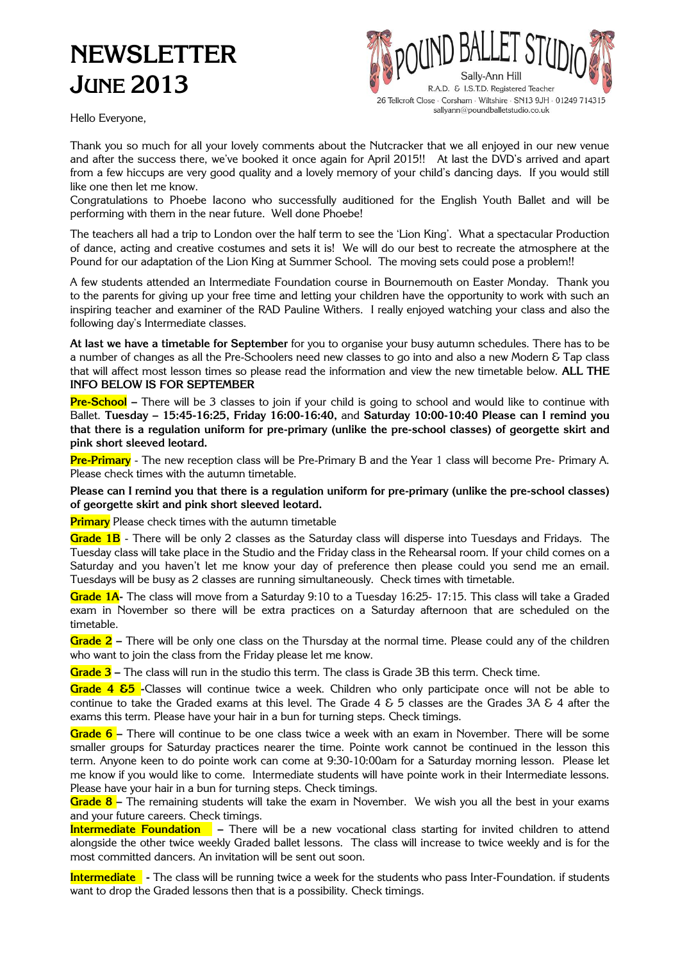# **NEWSLETTER JUNE 2013**



Hello Everyone,

Thank you so much for all your lovely comments about the Nutcracker that we all enjoyed in our new venue and after the success there, we've booked it once again for April 2015!! At last the DVD's arrived and apart from a few hiccups are very good quality and a lovely memory of your child's dancing days. If you would still like one then let me know.

Congratulations to Phoebe Iacono who successfully auditioned for the English Youth Ballet and will be performing with them in the near future. Well done Phoebe!

The teachers all had a trip to London over the half term to see the 'Lion King'. What a spectacular Production of dance, acting and creative costumes and sets it is! We will do our best to recreate the atmosphere at the Pound for our adaptation of the Lion King at Summer School. The moving sets could pose a problem!!

A few students attended an Intermediate Foundation course in Bournemouth on Easter Monday. Thank you to the parents for giving up your free time and letting your children have the opportunity to work with such an inspiring teacher and examiner of the RAD Pauline Withers. I really enjoyed watching your class and also the following day's Intermediate classes.

**At last we have a timetable for September** for you to organise your busy autumn schedules. There has to be a number of changes as all the Pre-Schoolers need new classes to go into and also a new Modern & Tap class that will affect most lesson times so please read the information and view the new timetable below. **ALL THE INFO BELOW IS FOR SEPTEMBER**

**Pre-School –** There will be 3 classes to join if your child is going to school and would like to continue with Ballet. **Tuesday – 15:45-16:25, Friday 16:00-16:40,** and **Saturday 10:00-10:40 Please can I remind you that there is a regulation uniform for pre-primary (unlike the pre-school classes) of georgette skirt and pink short sleeved leotard.**

**Pre-Primary** - The new reception class will be Pre-Primary B and the Year 1 class will become Pre- Primary A. Please check times with the autumn timetable.

**Please can I remind you that there is a regulation uniform for pre-primary (unlike the pre-school classes) of georgette skirt and pink short sleeved leotard.**

**Primary** Please check times with the autumn timetable

**Grade 1B** - There will be only 2 classes as the Saturday class will disperse into Tuesdays and Fridays. The Tuesday class will take place in the Studio and the Friday class in the Rehearsal room. If your child comes on a Saturday and you haven't let me know your day of preference then please could you send me an email. Tuesdays will be busy as 2 classes are running simultaneously. Check times with timetable.

**Grade 1A-** The class will move from a Saturday 9:10 to a Tuesday 16:25- 17:15. This class will take a Graded exam in November so there will be extra practices on a Saturday afternoon that are scheduled on the timetable.

**Grade 2 –** There will be only one class on the Thursday at the normal time. Please could any of the children who want to join the class from the Friday please let me know.

**Grade 3 –** The class will run in the studio this term. The class is Grade 3B this term. Check time.

**Grade 4 &5 -**Classes will continue twice a week. Children who only participate once will not be able to continue to take the Graded exams at this level. The Grade  $4 \& 5$  classes are the Grades 3A  $\& 4$  after the exams this term. Please have your hair in a bun for turning steps. Check timings.

**Grade 6 –** There will continue to be one class twice a week with an exam in November. There will be some smaller groups for Saturday practices nearer the time. Pointe work cannot be continued in the lesson this term. Anyone keen to do pointe work can come at 9:30-10:00am for a Saturday morning lesson. Please let me know if you would like to come. Intermediate students will have pointe work in their Intermediate lessons. Please have your hair in a bun for turning steps. Check timings.

**Grade 8 –** The remaining students will take the exam in November. We wish you all the best in your exams and your future careers. Check timings.

**Intermediate Foundation –** There will be a new vocational class starting for invited children to attend alongside the other twice weekly Graded ballet lessons. The class will increase to twice weekly and is for the most committed dancers. An invitation will be sent out soon.

**Intermediate -** The class will be running twice a week for the students who pass Inter-Foundation. if students want to drop the Graded lessons then that is a possibility. Check timings.